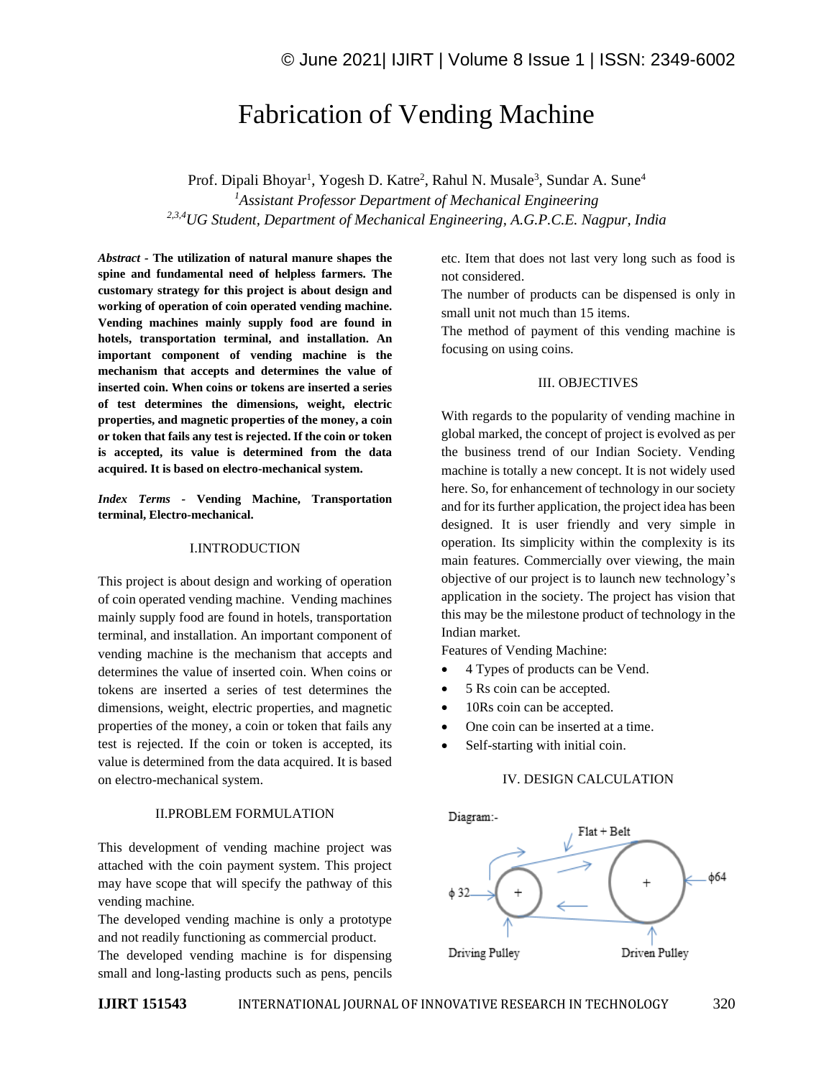# Fabrication of Vending Machine

Prof. Dipali Bhoyar<sup>1</sup>, Yogesh D. Katre<sup>2</sup>, Rahul N. Musale<sup>3</sup>, Sundar A. Sune<sup>4</sup> *<sup>1</sup>Assistant Professor Department of Mechanical Engineering 2,3,4UG Student, Department of Mechanical Engineering, A.G.P.C.E. Nagpur, India*

*Abstract -* **The utilization of natural manure shapes the spine and fundamental need of helpless farmers. The customary strategy for this project is about design and working of operation of coin operated vending machine. Vending machines mainly supply food are found in hotels, transportation terminal, and installation. An important component of vending machine is the mechanism that accepts and determines the value of inserted coin. When coins or tokens are inserted a series of test determines the dimensions, weight, electric properties, and magnetic properties of the money, a coin or token that fails any test is rejected. If the coin or token is accepted, its value is determined from the data acquired. It is based on electro-mechanical system.**

*Index Terms -* **Vending Machine, Transportation terminal, Electro-mechanical.**

#### I.INTRODUCTION

This project is about design and working of operation of coin operated vending machine. Vending machines mainly supply food are found in hotels, transportation terminal, and installation. An important component of vending machine is the mechanism that accepts and determines the value of inserted coin. When coins or tokens are inserted a series of test determines the dimensions, weight, electric properties, and magnetic properties of the money, a coin or token that fails any test is rejected. If the coin or token is accepted, its value is determined from the data acquired. It is based on electro-mechanical system.

## II.PROBLEM FORMULATION

This development of vending machine project was attached with the coin payment system. This project may have scope that will specify the pathway of this vending machine.

The developed vending machine is only a prototype and not readily functioning as commercial product.

The developed vending machine is for dispensing small and long-lasting products such as pens, pencils etc. Item that does not last very long such as food is not considered.

The number of products can be dispensed is only in small unit not much than 15 items.

The method of payment of this vending machine is focusing on using coins.

### III. OBJECTIVES

With regards to the popularity of vending machine in global marked, the concept of project is evolved as per the business trend of our Indian Society. Vending machine is totally a new concept. It is not widely used here. So, for enhancement of technology in our society and for its further application, the project idea has been designed. It is user friendly and very simple in operation. Its simplicity within the complexity is its main features. Commercially over viewing, the main objective of our project is to launch new technology's application in the society. The project has vision that this may be the milestone product of technology in the Indian market.

Features of Vending Machine:

- 4 Types of products can be Vend.
- 5 Rs coin can be accepted.
- 10Rs coin can be accepted.
- One coin can be inserted at a time.
- Self-starting with initial coin.

## IV. DESIGN CALCULATION

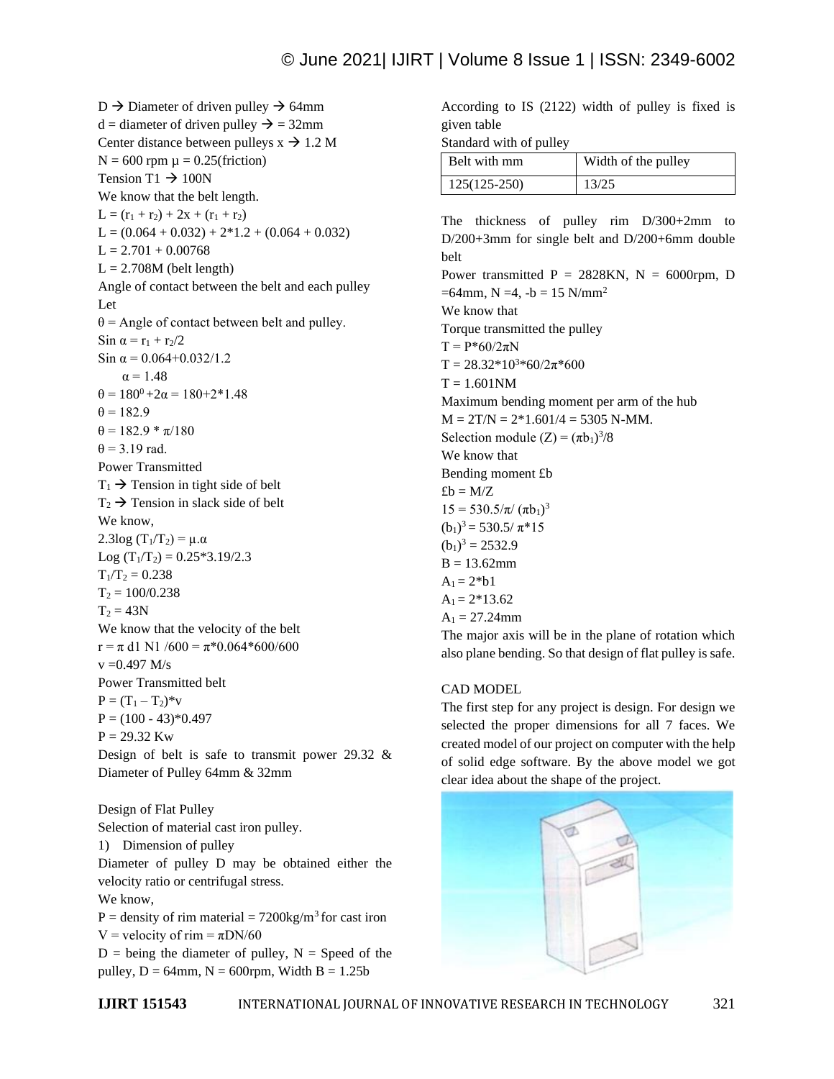$D \rightarrow$  Diameter of driven pulley  $\rightarrow$  64mm  $d =$  diameter of driven pulley  $\rightarrow$  = 32mm Center distance between pulleys  $x \rightarrow 1.2 M$  $N = 600$  rpm  $\mu = 0.25$ (friction) Tension T1  $\rightarrow$  100N We know that the belt length.  $L = (r_1 + r_2) + 2x + (r_1 + r_2)$  $L = (0.064 + 0.032) + 2*1.2 + (0.064 + 0.032)$  $L = 2.701 + 0.00768$  $L = 2.708M$  (belt length) Angle of contact between the belt and each pulley Let  $\theta$  = Angle of contact between belt and pulley. Sin  $\alpha = r_1 + r_2/2$ Sin  $\alpha$  = 0.064+0.032/1.2  $\alpha = 1.48$  $\theta = 180^0 + 2\alpha = 180 + 2 \cdot 1.48$  $\theta = 182.9$  $\theta = 182.9 * \pi/180$  $\theta$  = 3.19 rad. Power Transmitted  $T_1 \rightarrow$  Tension in tight side of belt  $T_2 \rightarrow$  Tension in slack side of belt We know, 2.3log (T<sub>1</sub>/T<sub>2</sub>) = μ.α Log  $(T_1/T_2) = 0.25*3.19/2.3$  $T_1/T_2 = 0.238$  $T_2 = 100/0.238$  $T_2 = 43N$ We know that the velocity of the belt  $r = \pi$  d1 N1 /600 =  $\pi$ \*0.064\*600/600  $v = 0.497 M/s$ Power Transmitted belt  $P = (T_1 - T_2)^* v$  $P = (100 - 43)*0.497$  $P = 29.32$  Kw Design of belt is safe to transmit power 29.32 & Diameter of Pulley 64mm & 32mm Design of Flat Pulley

Selection of material cast iron pulley. 1) Dimension of pulley Diameter of pulley D may be obtained either the velocity ratio or centrifugal stress. We know,  $P =$  density of rim material = 7200kg/m<sup>3</sup> for cast iron

V = velocity of rim =  $\pi$ DN/60

 $D =$  being the diameter of pulley,  $N =$  Speed of the pulley,  $D = 64$ mm,  $N = 600$ rpm, Width  $B = 1.25b$ 

According to IS (2122) width of pulley is fixed is given table

Standard with of pulley

| Belt with mm   | Width of the pulley |
|----------------|---------------------|
| $125(125-250)$ | 13/25               |

The thickness of pulley rim D/300+2mm to D/200+3mm for single belt and D/200+6mm double belt Power transmitted  $P = 2828KN$ ,  $N = 6000$ rpm, D  $=64$ mm, N  $=4$ ,  $-b = 15$  N/mm<sup>2</sup> We know that Torque transmitted the pulley  $T = P*60/2πN$  $T = 28.32*10<sup>3</sup>*60/2 $\pi$ *600$  $T = 1.601$ NM Maximum bending moment per arm of the hub  $M = 2T/N = 2*1.601/4 = 5305 N-MM$ . Selection module  $(Z) = (\pi b_1)^3/8$ We know that Bending moment £b  $\pounds b = M/Z$  $15 = 530.5/\pi/(\pi b_1)^3$  $(b_1)^3 = 530.5/ \pi \cdot 15$  $(b_1)^3 = 2532.9$  $B = 13.62$ mm  $A_1 = 2 * b1$  $A_1 = 2*13.62$  $A_1 = 27.24$ mm The major axis will be in the plane of rotation which also plane bending. So that design of flat pulley is safe.

### CAD MODEL

The first step for any project is design. For design we selected the proper dimensions for all 7 faces. We created model of our project on computer with the help of solid edge software. By the above model we got clear idea about the shape of the project.